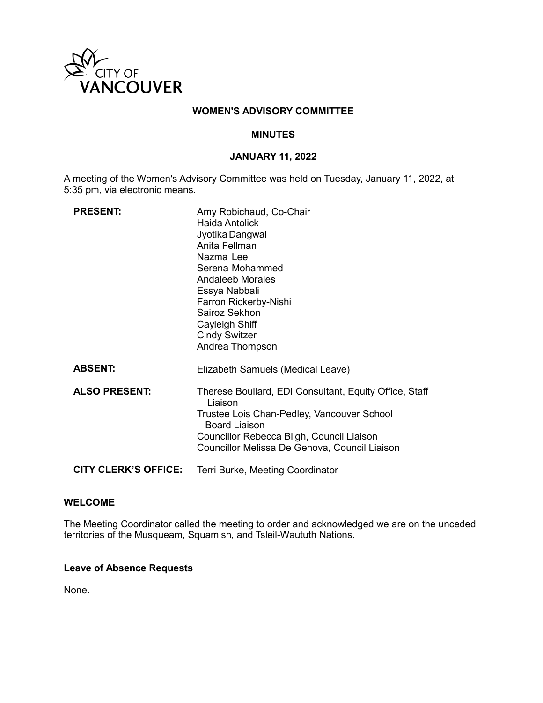

### **WOMEN'S ADVISORY COMMITTEE**

### **MINUTES**

### **JANUARY 11, 2022**

A meeting of the Women's Advisory Committee was held on Tuesday, January 11, 2022, at 5:35 pm, via electronic means.

| <b>PRESENT:</b>             | Amy Robichaud, Co-Chair<br>Haida Antolick<br>Jyotika Dangwal<br>Anita Fellman<br>Nazma Lee<br>Serena Mohammed<br>Andaleeb Morales<br>Essya Nabbali<br>Farron Rickerby-Nishi<br>Sairoz Sekhon<br>Cayleigh Shiff<br><b>Cindy Switzer</b><br>Andrea Thompson |
|-----------------------------|-----------------------------------------------------------------------------------------------------------------------------------------------------------------------------------------------------------------------------------------------------------|
| <b>ABSENT:</b>              | Elizabeth Samuels (Medical Leave)                                                                                                                                                                                                                         |
| <b>ALSO PRESENT:</b>        | Therese Boullard, EDI Consultant, Equity Office, Staff<br>I iaison<br>Trustee Lois Chan-Pedley, Vancouver School<br><b>Board Liaison</b><br>Councillor Rebecca Bligh, Council Liaison<br>Councillor Melissa De Genova, Council Liaison                    |
| <b>CITY CLERK'S OFFICE:</b> | Terri Burke, Meeting Coordinator                                                                                                                                                                                                                          |

#### **WELCOME**

The Meeting Coordinator called the meeting to order and acknowledged we are on the unceded territories of the Musqueam, Squamish, and Tsleil-Waututh Nations.

#### **Leave of Absence Requests**

None.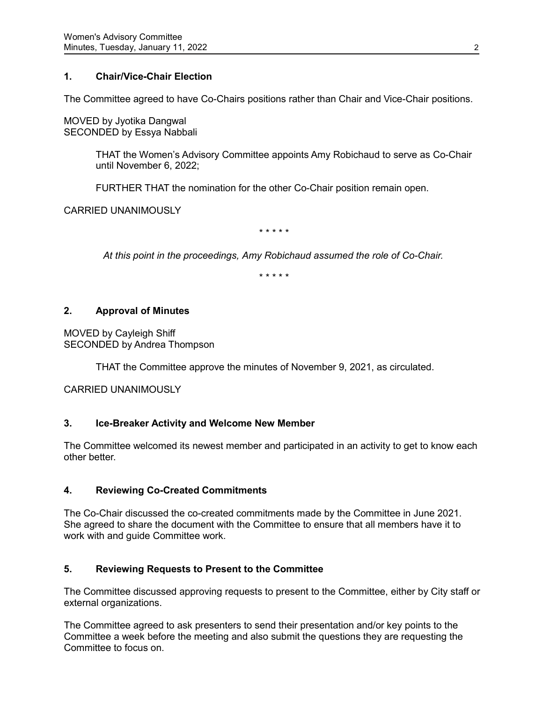# **1. Chair/Vice-Chair Election**

The Committee agreed to have Co-Chairs positions rather than Chair and Vice-Chair positions.

MOVED by Jyotika Dangwal SECONDED by Essya Nabbali

> THAT the Women's Advisory Committee appoints Amy Robichaud to serve as Co-Chair until November 6, 2022;

FURTHER THAT the nomination for the other Co-Chair position remain open.

CARRIED UNANIMOUSLY

*\* \* \* \* \**

*At this point in the proceedings, Amy Robichaud assumed the role of Co-Chair.*

*\* \* \* \* \**

# **2. Approval of Minutes**

MOVED by Cayleigh Shiff SECONDED by Andrea Thompson

THAT the Committee approve the minutes of November 9, 2021, as circulated.

CARRIED UNANIMOUSLY

# **3. Ice-Breaker Activity and Welcome New Member**

The Committee welcomed its newest member and participated in an activity to get to know each other better.

# **4. Reviewing Co-Created Commitments**

The Co-Chair discussed the co-created commitments made by the Committee in June 2021. She agreed to share the document with the Committee to ensure that all members have it to work with and guide Committee work.

# **5. Reviewing Requests to Present to the Committee**

The Committee discussed approving requests to present to the Committee, either by City staff or external organizations.

The Committee agreed to ask presenters to send their presentation and/or key points to the Committee a week before the meeting and also submit the questions they are requesting the Committee to focus on.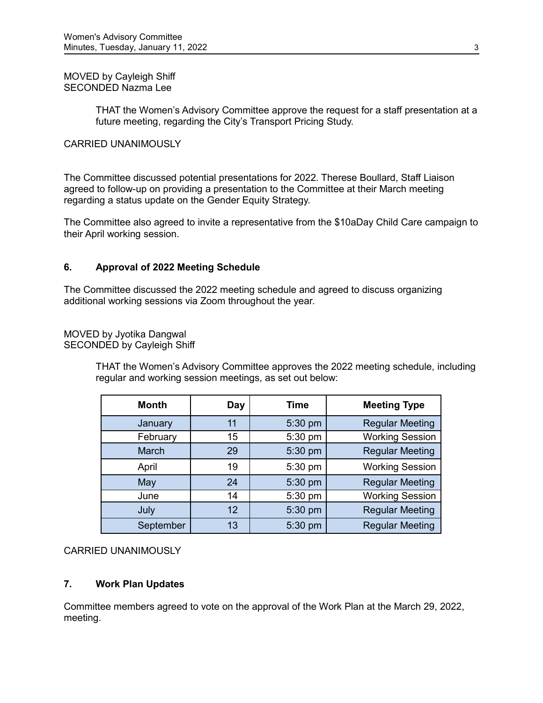MOVED by Cayleigh Shiff SECONDED Nazma Lee

> THAT the Women's Advisory Committee approve the request for a staff presentation at a future meeting, regarding the City's Transport Pricing Study.

### CARRIED UNANIMOUSLY

The Committee discussed potential presentations for 2022. Therese Boullard, Staff Liaison agreed to follow-up on providing a presentation to the Committee at their March meeting regarding a status update on the Gender Equity Strategy.

The Committee also agreed to invite a representative from the \$10aDay Child Care campaign to their April working session.

# **6. Approval of 2022 Meeting Schedule**

The Committee discussed the 2022 meeting schedule and agreed to discuss organizing additional working sessions via Zoom throughout the year.

MOVED by Jyotika Dangwal SECONDED by Cayleigh Shiff

> THAT the Women's Advisory Committee approves the 2022 meeting schedule, including regular and working session meetings, as set out below:

| <b>Month</b> | Day | Time    | <b>Meeting Type</b>    |
|--------------|-----|---------|------------------------|
| January      | 11  | 5:30 pm | <b>Regular Meeting</b> |
| February     | 15  | 5:30 pm | <b>Working Session</b> |
| <b>March</b> | 29  | 5:30 pm | <b>Regular Meeting</b> |
| April        | 19  | 5:30 pm | <b>Working Session</b> |
| May          | 24  | 5:30 pm | <b>Regular Meeting</b> |
| June         | 14  | 5:30 pm | <b>Working Session</b> |
| July         | 12  | 5:30 pm | <b>Regular Meeting</b> |
| September    | 13  | 5:30 pm | <b>Regular Meeting</b> |

# CARRIED UNANIMOUSLY

#### **7. Work Plan Updates**

Committee members agreed to vote on the approval of the Work Plan at the March 29, 2022, meeting.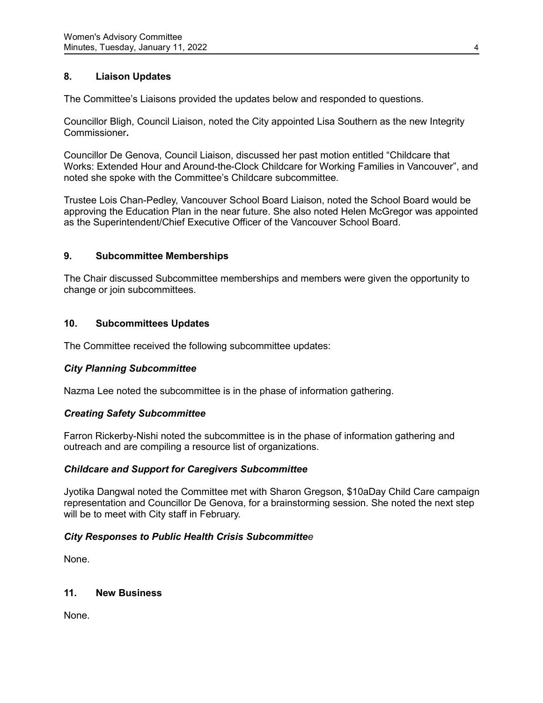# **8. Liaison Updates**

The Committee's Liaisons provided the updates below and responded to questions.

Councillor Bligh, Council Liaison, noted the City appointed Lisa Southern as the new Integrity Commissioner**.**

Councillor De Genova, Council Liaison, discussed her past motion entitled "Childcare that Works: Extended Hour and Around-the-Clock Childcare for Working Families in Vancouver", and noted she spoke with the Committee's Childcare subcommittee.

Trustee Lois Chan-Pedley, Vancouver School Board Liaison, noted the School Board would be approving the Education Plan in the near future. She also noted Helen McGregor was appointed as the Superintendent/Chief Executive Officer of the Vancouver School Board.

### **9. Subcommittee Memberships**

The Chair discussed Subcommittee memberships and members were given the opportunity to change or join subcommittees.

### **10. Subcommittees Updates**

The Committee received the following subcommittee updates:

# *City Planning Subcommittee*

Nazma Lee noted the subcommittee is in the phase of information gathering.

#### *Creating Safety Subcommittee*

Farron Rickerby-Nishi noted the subcommittee is in the phase of information gathering and outreach and are compiling a resource list of organizations.

# *Childcare and Support for Caregivers Subcommittee*

Jyotika Dangwal noted the Committee met with Sharon Gregson, \$10aDay Child Care campaign representation and Councillor De Genova, for a brainstorming session. She noted the next step will be to meet with City staff in February.

# *City Responses to Public Health Crisis Subcommittee*

None.

# **11. New Business**

None.